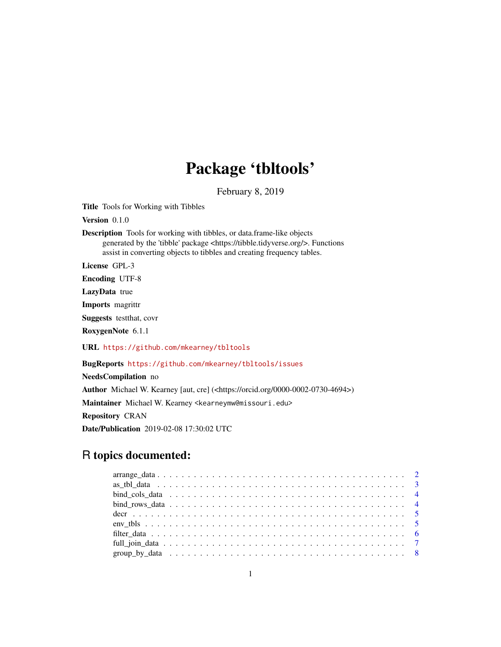# Package 'tbltools'

February 8, 2019

<span id="page-0-0"></span>Title Tools for Working with Tibbles

Version 0.1.0

Description Tools for working with tibbles, or data.frame-like objects generated by the 'tibble' package <https://tibble.tidyverse.org/>. Functions assist in converting objects to tibbles and creating frequency tables.

License GPL-3

Encoding UTF-8

LazyData true

Imports magrittr

Suggests testthat, covr

RoxygenNote 6.1.1

URL <https://github.com/mkearney/tbltools>

BugReports <https://github.com/mkearney/tbltools/issues>

NeedsCompilation no Author Michael W. Kearney [aut, cre] (<https://orcid.org/0000-0002-0730-4694>) Maintainer Michael W. Kearney <kearneymw@missouri.edu> Repository CRAN Date/Publication 2019-02-08 17:30:02 UTC

# R topics documented: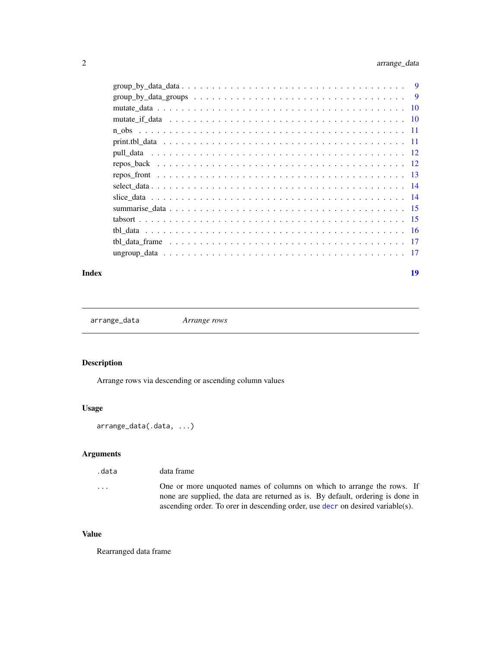# <span id="page-1-0"></span>2 arrange\_data

| $group_by_data_grows \dots \dots \dots \dots \dots \dots \dots \dots \dots \dots \dots \dots \dots \dots \dots$ | $\overline{9}$ |
|-----------------------------------------------------------------------------------------------------------------|----------------|
|                                                                                                                 |                |
|                                                                                                                 |                |
|                                                                                                                 |                |
|                                                                                                                 |                |
|                                                                                                                 |                |
|                                                                                                                 |                |
|                                                                                                                 |                |
|                                                                                                                 |                |
|                                                                                                                 |                |
|                                                                                                                 |                |
|                                                                                                                 |                |
|                                                                                                                 |                |
|                                                                                                                 |                |
|                                                                                                                 |                |

#### **Index** 2008 **[19](#page-18-0)99**

arrange\_data *Arrange rows*

# Description

Arrange rows via descending or ascending column values

#### Usage

```
arrange_data(.data, ...)
```
# Arguments

| .data                   | data frame                                                                      |
|-------------------------|---------------------------------------------------------------------------------|
| $\cdot$ $\cdot$ $\cdot$ | One or more unquoted names of columns on which to arrange the rows. If          |
|                         | none are supplied, the data are returned as is. By default, ordering is done in |
|                         | ascending order. To ordr in descending order, use decr on desired variable(s).  |

# Value

Rearranged data frame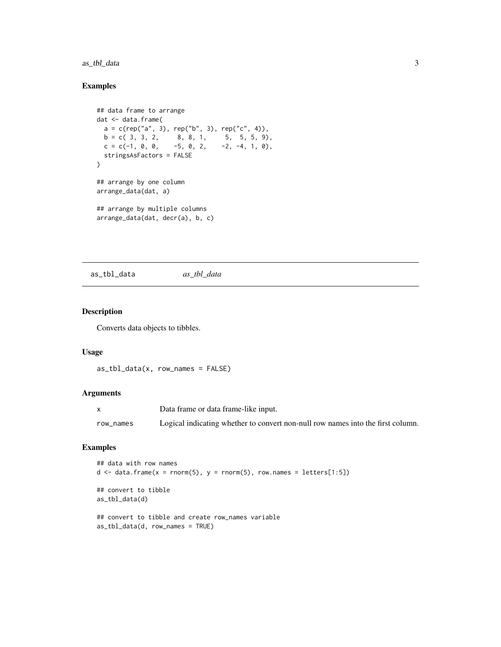#### <span id="page-2-0"></span>as\_tbl\_data 3

### Examples

```
## data frame to arrange
dat <- data.frame(
 a = c(rep("a", 3), rep("b", 3), rep("c", 4)),b = c(3, 3, 2, 8, 8, 1, 5, 5, 9),c = c(-1, 0, 0, -5, 0, 2, -2, -4, 1, 0),stringsAsFactors = FALSE
)
## arrange by one column
arrange_data(dat, a)
## arrange by multiple columns
arrange_data(dat, decr(a), b, c)
```
as\_tbl\_data *as\_tbl\_data*

#### Description

Converts data objects to tibbles.

#### Usage

```
as_tbl_data(x, row_names = FALSE)
```
#### Arguments

|           | Data frame or data frame-like input.                                            |
|-----------|---------------------------------------------------------------------------------|
| row names | Logical indicating whether to convert non-null row names into the first column. |

```
## data with row names
d \leq - data.frame(x = rnorm(5), y = rnorm(5), row.names = letters[1:5])
## convert to tibble
as_tbl_data(d)
## convert to tibble and create row_names variable
as_tbl_data(d, row_names = TRUE)
```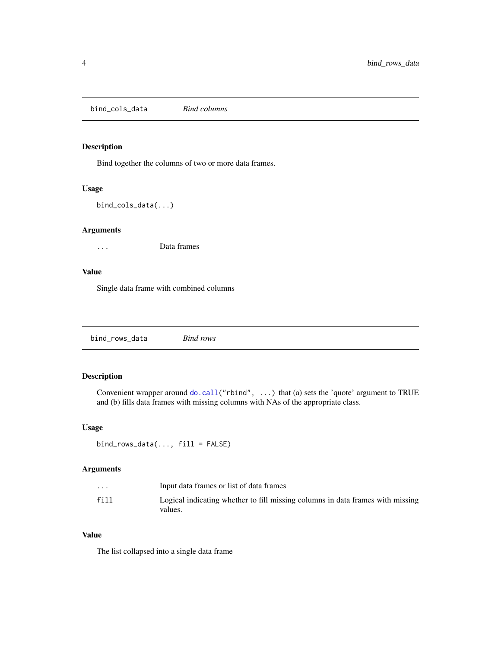<span id="page-3-0"></span>bind\_cols\_data *Bind columns*

#### Description

Bind together the columns of two or more data frames.

#### Usage

```
bind_cols_data(...)
```
#### Arguments

... Data frames

#### Value

Single data frame with combined columns

bind\_rows\_data *Bind rows*

#### Description

Convenient wrapper around [do.call\(](#page-0-0)"rbind", ...) that (a) sets the 'quote' argument to TRUE and (b) fills data frames with missing columns with NAs of the appropriate class.

#### Usage

bind\_rows\_data(..., fill = FALSE)

#### Arguments

| $\ddot{\phantom{0}}$ | Input data frames or list of data frames                                                  |
|----------------------|-------------------------------------------------------------------------------------------|
| fill                 | Logical indicating whether to fill missing columns in data frames with missing<br>values. |

### Value

The list collapsed into a single data frame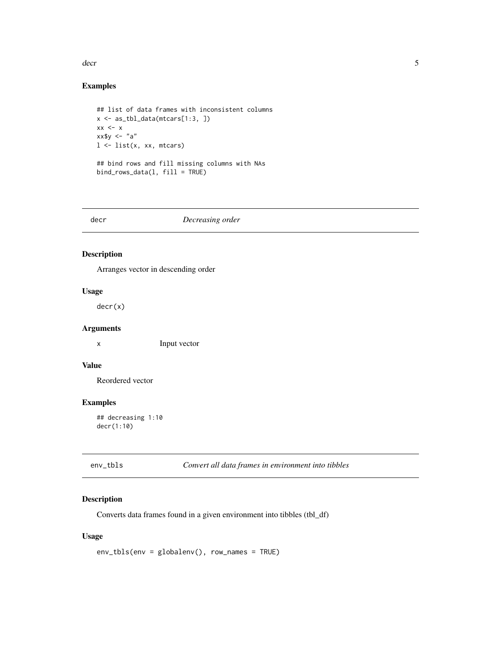<span id="page-4-0"></span>decr 5

### Examples

```
## list of data frames with inconsistent columns
x <- as_tbl_data(mtcars[1:3, ])
xx < - xxx$y <- "a"
l <- list(x, xx, mtcars)
## bind rows and fill missing columns with NAs
bind_{rows\_data}(1, fill = TRUE)
```
<span id="page-4-1"></span>decr *Decreasing order*

#### Description

Arranges vector in descending order

#### Usage

decr(x)

# Arguments

x Input vector

# Value

Reordered vector

#### Examples

## decreasing 1:10 decr(1:10)

| env tbls | Convert all data frames in environment into tibbles |
|----------|-----------------------------------------------------|
|----------|-----------------------------------------------------|

#### Description

Converts data frames found in a given environment into tibbles (tbl\_df)

#### Usage

env\_tbls(env = globalenv(), row\_names = TRUE)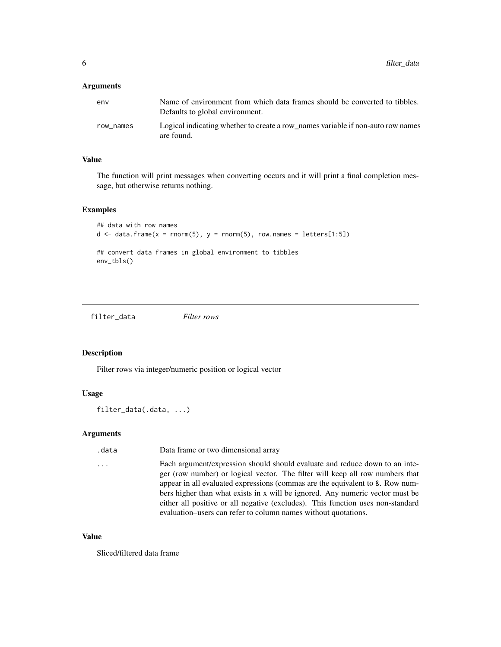#### <span id="page-5-0"></span>**Arguments**

| env       | Name of environment from which data frames should be converted to tibbles.<br>Defaults to global environment. |
|-----------|---------------------------------------------------------------------------------------------------------------|
| row names | Logical indicating whether to create a row names variable if non-auto row names<br>are found.                 |

#### Value

The function will print messages when converting occurs and it will print a final completion message, but otherwise returns nothing.

#### Examples

```
## data with row names
d \leq - data.frame(x = rnorm(5), y = rnorm(5), row.names = letters[1:5])
## convert data frames in global environment to tibbles
env_tbls()
```
filter\_data *Filter rows*

#### Description

Filter rows via integer/numeric position or logical vector

#### Usage

filter\_data(.data, ...)

#### Arguments

.data Data frame or two dimensional array

... Each argument/expression should should evaluate and reduce down to an integer (row number) or logical vector. The filter will keep all row numbers that appear in all evaluated expressions (commas are the equivalent to &. Row numbers higher than what exists in x will be ignored. Any numeric vector must be either all positive or all negative (excludes). This function uses non-standard evaluation–users can refer to column names without quotations.

#### Value

Sliced/filtered data frame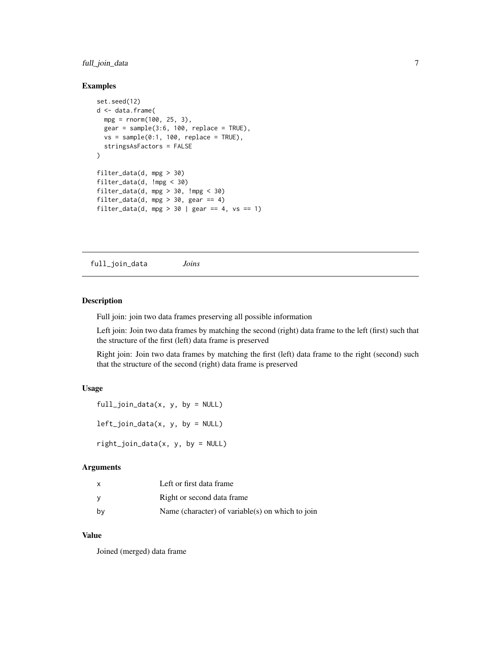#### <span id="page-6-0"></span>full\_join\_data 7

#### Examples

```
set.seed(12)
d <- data.frame(
 mpg = rnorm(100, 25, 3),
  gear = sample(3:6, 100, replace = TRUE),
  vs = sample(0:1, 100, replace = TRUE),stringsAsFactors = FALSE
)
filter_data(d, mpg > 30)
filter_data(d, !mpg < 30)
filter_data(d, mpg > 30, !mpg < 30)
filter_data(d, mpg > 30, gear == 4)
filter_data(d, mpg > 30 | gear == 4, vs == 1)
```
full\_join\_data *Joins*

#### Description

Full join: join two data frames preserving all possible information

Left join: Join two data frames by matching the second (right) data frame to the left (first) such that the structure of the first (left) data frame is preserved

Right join: Join two data frames by matching the first (left) data frame to the right (second) such that the structure of the second (right) data frame is preserved

#### Usage

full\_join\_data(x, y, by = NULL)

 $left\_join\_data(x, y, by = NULL)$ 

right\_join\_data(x, y, by = NULL)

#### Arguments

| x  | Left or first data frame                         |
|----|--------------------------------------------------|
| ν  | Right or second data frame                       |
| bν | Name (character) of variable(s) on which to join |

# Value

Joined (merged) data frame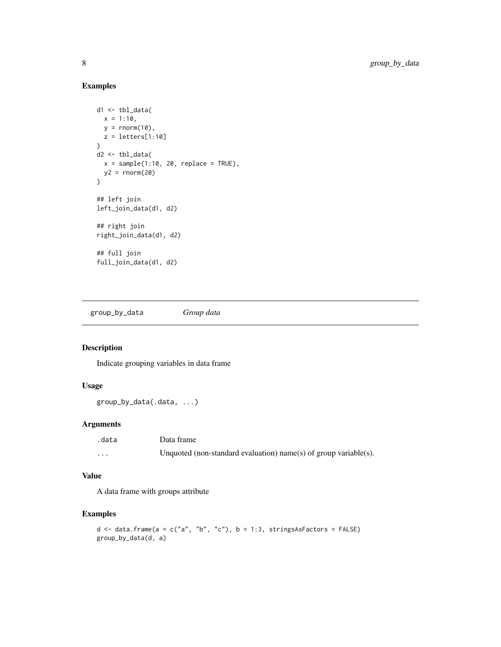# Examples

```
d1 <- tbl_data(
  x = 1:10,
  y = \text{norm}(10),
 z = letters[1:10]
)
d2 \leq - \text{thl\_data}x = sample(1:10, 20, replace = TRUE),y2 = rnorm(20)\lambda## left join
left_join_data(d1, d2)
## right join
right_join_data(d1, d2)
## full join
full_join_data(d1, d2)
```
group\_by\_data *Group data*

#### Description

Indicate grouping variables in data frame

#### Usage

```
group_by_data(.data, ...)
```
### Arguments

| .data    | Data frame                                                       |
|----------|------------------------------------------------------------------|
| $\cdots$ | Unquoted (non-standard evaluation) name(s) of group variable(s). |

#### Value

A data frame with groups attribute

```
d \le data.frame(a = c("a", "b", "c"), b = 1:3, stringsAsFactors = FALSE)
group_by_data(d, a)
```
<span id="page-7-0"></span>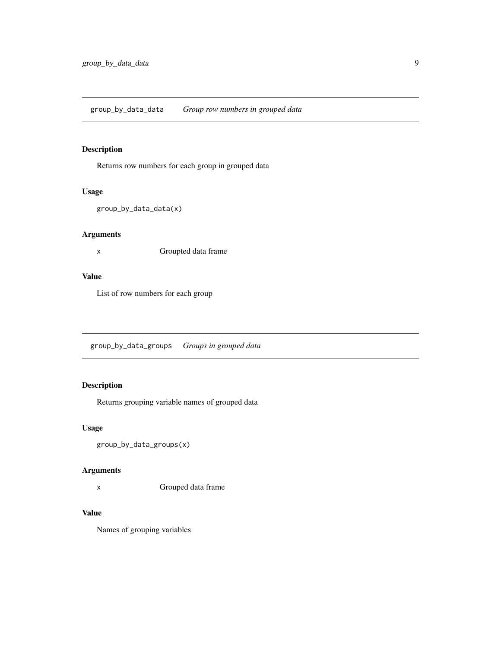# <span id="page-8-0"></span>Description

Returns row numbers for each group in grouped data

#### Usage

```
group_by_data_data(x)
```
# Arguments

x Groupted data frame

#### Value

List of row numbers for each group

group\_by\_data\_groups *Groups in grouped data*

# Description

Returns grouping variable names of grouped data

# Usage

group\_by\_data\_groups(x)

#### Arguments

x Grouped data frame

#### Value

Names of grouping variables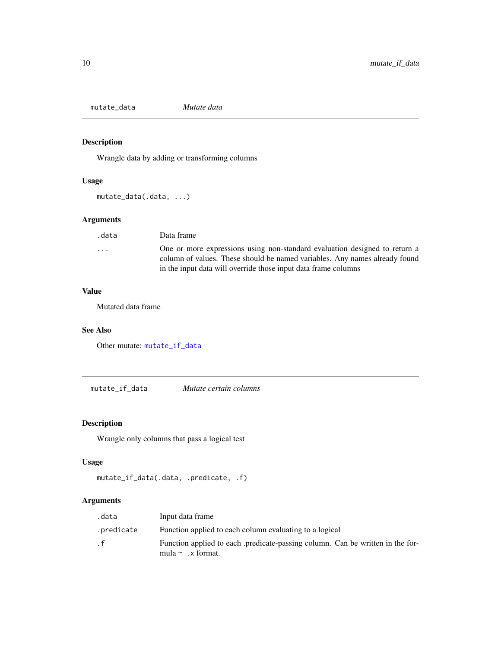<span id="page-9-2"></span><span id="page-9-0"></span>mutate\_data *Mutate data*

# Description

Wrangle data by adding or transforming columns

#### Usage

mutate\_data(.data, ...)

#### Arguments

| .data | Data frame                                                                                                                                                                                                                 |
|-------|----------------------------------------------------------------------------------------------------------------------------------------------------------------------------------------------------------------------------|
| .     | One or more expressions using non-standard evaluation designed to return a<br>column of values. These should be named variables. Any names already found<br>in the input data will override those input data frame columns |

#### Value

Mutated data frame

#### See Also

Other mutate: [mutate\\_if\\_data](#page-9-1)

<span id="page-9-1"></span>mutate\_if\_data *Mutate certain columns*

# Description

Wrangle only columns that pass a logical test

#### Usage

```
mutate_if_data(.data, .predicate, .f)
```
# Arguments

| .data      | Input data frame                                                                                          |
|------------|-----------------------------------------------------------------------------------------------------------|
| .predicate | Function applied to each column evaluating to a logical                                                   |
| . f        | Function applied to each .predicate-passing column. Can be written in the for-<br>mula $\sim$ . x format. |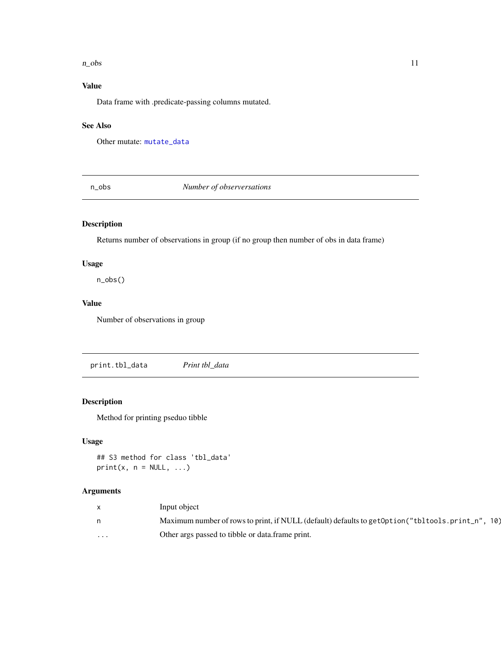#### <span id="page-10-0"></span> $n_{\text{obs}}$  11

# Value

Data frame with .predicate-passing columns mutated.

#### See Also

Other mutate: [mutate\\_data](#page-9-2)

n\_obs *Number of observersations*

#### Description

Returns number of observations in group (if no group then number of obs in data frame)

#### Usage

n\_obs()

#### Value

Number of observations in group

print.tbl\_data *Print tbl\_data*

#### Description

Method for printing pseduo tibble

#### Usage

## S3 method for class 'tbl\_data'  $print(x, n = NULL, ...)$ 

#### Arguments

|         | Input object                                                                                         |
|---------|------------------------------------------------------------------------------------------------------|
|         | Maximum number of rows to print, if NULL (default) defaults to get Option ("tbl tools. print_n", 10) |
| $\cdot$ | Other args passed to tibble or data.frame print.                                                     |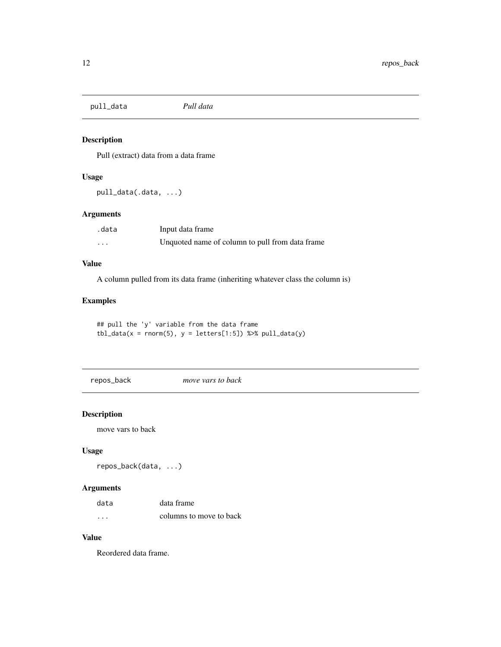<span id="page-11-0"></span>pull\_data *Pull data*

#### Description

Pull (extract) data from a data frame

#### Usage

pull\_data(.data, ...)

#### Arguments

| .data    | Input data frame                                |
|----------|-------------------------------------------------|
| $\cdots$ | Unquoted name of column to pull from data frame |

#### Value

A column pulled from its data frame (inheriting whatever class the column is)

### Examples

## pull the 'y' variable from the data frame tbl\_data(x = rnorm(5),  $y = \text{leters}[1:5])$  %>% pull\_data(y)

repos\_back *move vars to back*

#### Description

move vars to back

#### Usage

repos\_back(data, ...)

#### Arguments

| data     | data frame              |
|----------|-------------------------|
| $\cdots$ | columns to move to back |

#### Value

Reordered data frame.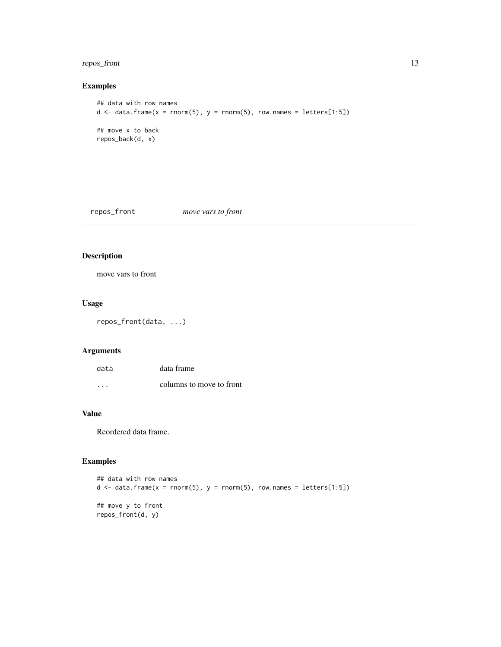#### <span id="page-12-0"></span>repos\_front 13

# Examples

```
## data with row names
d \leq data.frame(x = rnorm(5), y = rnorm(5), row.names = letters[1:5])
## move x to back
repos_back(d, x)
```
repos\_front *move vars to front*

# Description

move vars to front

#### Usage

repos\_front(data, ...)

# Arguments

| data | data frame               |
|------|--------------------------|
| .    | columns to move to front |

# Value

Reordered data frame.

```
## data with row names
d \leq data.frame(x = rnorm(5), y = rnorm(5), row.names = letters[1:5])
## move y to front
repos_front(d, y)
```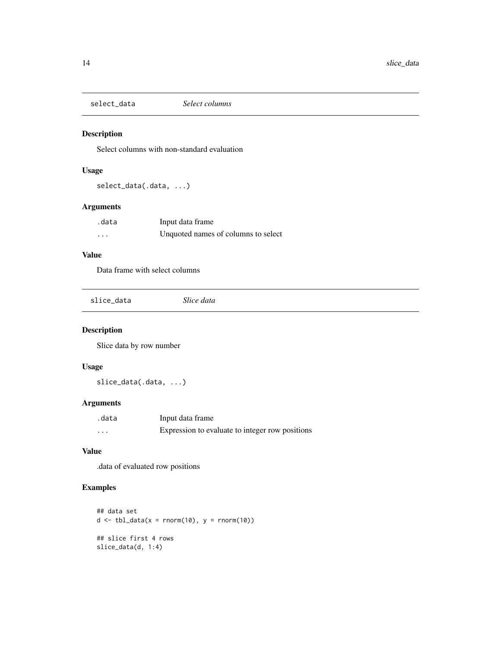<span id="page-13-0"></span>select\_data *Select columns*

#### Description

Select columns with non-standard evaluation

#### Usage

select\_data(.data, ...)

# Arguments

| .data    | Input data frame                    |
|----------|-------------------------------------|
| $\cdots$ | Unquoted names of columns to select |

### Value

Data frame with select columns

slice\_data *Slice data*

#### Description

Slice data by row number

# Usage

slice\_data(.data, ...)

#### Arguments

| .data    | Input data frame                                |
|----------|-------------------------------------------------|
| $\cdots$ | Expression to evaluate to integer row positions |

#### Value

.data of evaluated row positions

```
## data set
d \leq tbl\_data(x = norm(10), y = norm(10))## slice first 4 rows
slice_data(d, 1:4)
```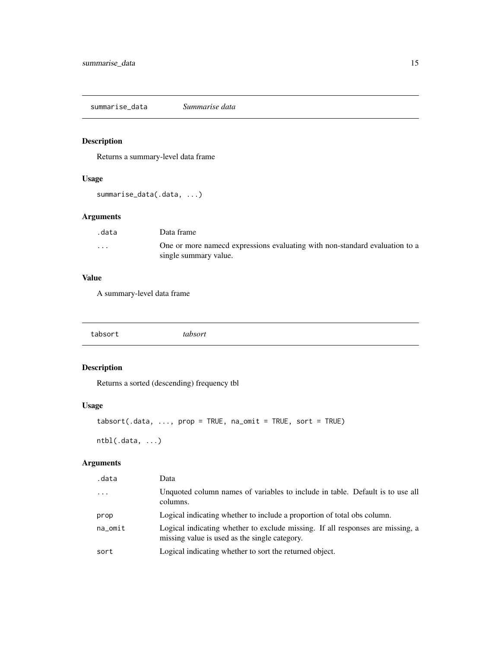<span id="page-14-0"></span>summarise\_data *Summarise data*

#### Description

Returns a summary-level data frame

#### Usage

```
summarise_data(.data, ...)
```
# Arguments

| .data                   | Data frame                                                                   |
|-------------------------|------------------------------------------------------------------------------|
| $\cdot$ $\cdot$ $\cdot$ | One or more name od expressions evaluating with non-standard evaluation to a |
|                         | single summary value.                                                        |

#### Value

A summary-level data frame

tabsort *tabsort*

# Description

Returns a sorted (descending) frequency tbl

#### Usage

```
tabsort(.data, ..., prop = TRUE, na_omit = TRUE, sort = TRUE)
```
ntbl(.data, ...)

### Arguments

| .data   | Data                                                                                                                            |
|---------|---------------------------------------------------------------------------------------------------------------------------------|
| $\cdot$ | Unquoted column names of variables to include in table. Default is to use all<br>columns.                                       |
| prop    | Logical indicating whether to include a proportion of total obs column.                                                         |
| na_omit | Logical indicating whether to exclude missing. If all responses are missing, a<br>missing value is used as the single category. |
| sort    | Logical indicating whether to sort the returned object.                                                                         |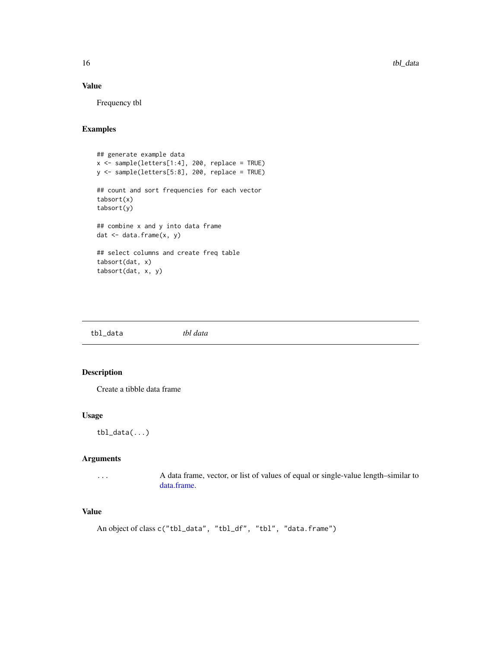### Value

Frequency tbl

#### Examples

```
## generate example data
x \leq - sample(letters[1:4], 200, replace = TRUE)
y <- sample(letters[5:8], 200, replace = TRUE)
## count and sort frequencies for each vector
tabsort(x)
tabsort(y)
## combine x and y into data frame
dat \leq data.frame(x, y)## select columns and create freq table
tabsort(dat, x)
tabsort(dat, x, y)
```
tbl\_data *tbl data*

#### Description

Create a tibble data frame

#### Usage

 $\text{thl\_data}(\ldots)$ 

#### Arguments

... A data frame, vector, or list of values of equal or single-value length–similar to [data.frame.](#page-0-0)

# Value

```
An object of class c("tbl_data", "tbl_df", "tbl", "data.frame")
```
<span id="page-15-0"></span>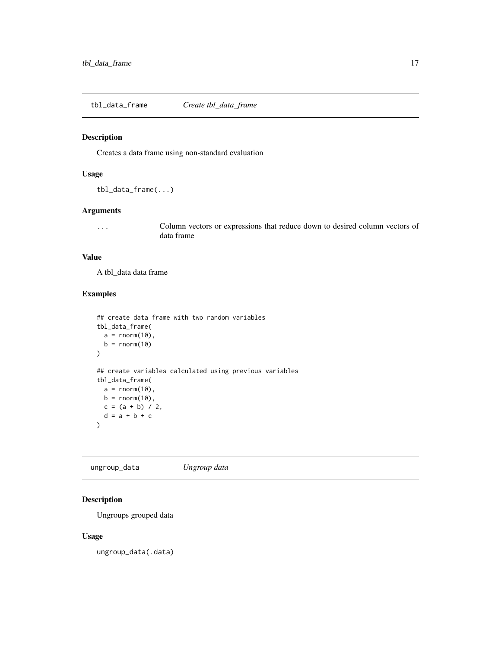<span id="page-16-0"></span>tbl\_data\_frame *Create tbl\_data\_frame*

#### Description

Creates a data frame using non-standard evaluation

#### Usage

```
tbl_data_frame(...)
```
#### Arguments

... Column vectors or expressions that reduce down to desired column vectors of data frame

#### Value

A tbl\_data data frame

#### Examples

```
## create data frame with two random variables
tbl_data_frame(
  a = rnorm(10),
  b = rnorm(10)\mathcal{L}## create variables calculated using previous variables
tbl_data_frame(
  a = rnorm(10),
  b = \text{rnorm}(10),
  c = (a + b) / 2,
  d = a + b + c\lambda
```
ungroup\_data *Ungroup data*

# Description

Ungroups grouped data

#### Usage

ungroup\_data(.data)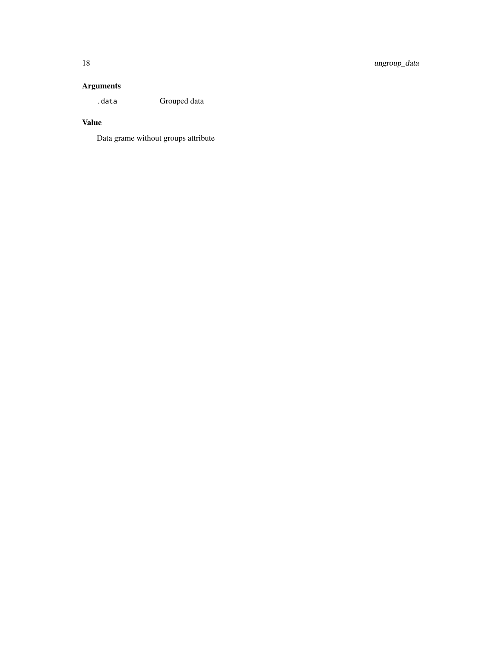# Arguments

.data Grouped data

# Value

Data grame without groups attribute